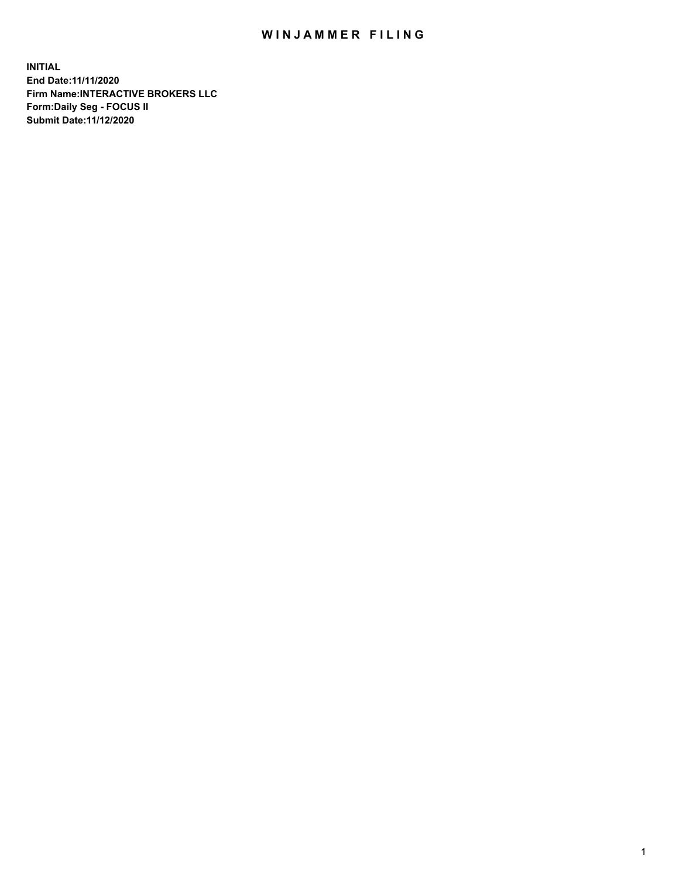## WIN JAMMER FILING

**INITIAL End Date:11/11/2020 Firm Name:INTERACTIVE BROKERS LLC Form:Daily Seg - FOCUS II Submit Date:11/12/2020**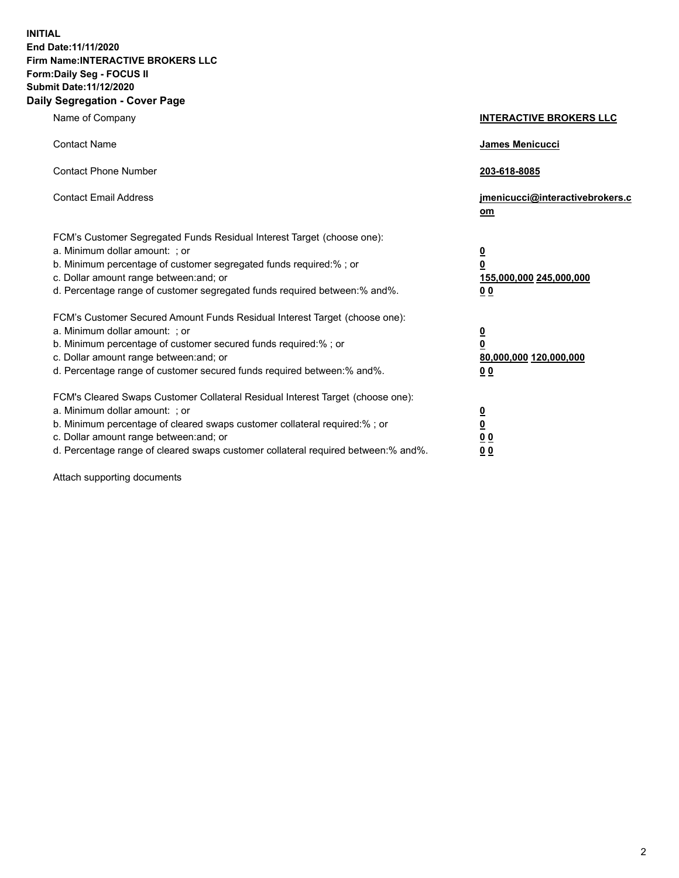**INITIAL End Date:11/11/2020 Firm Name:INTERACTIVE BROKERS LLC Form:Daily Seg - FOCUS II Submit Date:11/12/2020 Daily Segregation - Cover Page**

| Name of Company                                                                                                                                                                                                                                                                                                                | <b>INTERACTIVE BROKERS LLC</b>                                                                           |
|--------------------------------------------------------------------------------------------------------------------------------------------------------------------------------------------------------------------------------------------------------------------------------------------------------------------------------|----------------------------------------------------------------------------------------------------------|
| <b>Contact Name</b>                                                                                                                                                                                                                                                                                                            | James Menicucci                                                                                          |
| <b>Contact Phone Number</b>                                                                                                                                                                                                                                                                                                    | 203-618-8085                                                                                             |
| <b>Contact Email Address</b>                                                                                                                                                                                                                                                                                                   | jmenicucci@interactivebrokers.c<br>om                                                                    |
| FCM's Customer Segregated Funds Residual Interest Target (choose one):<br>a. Minimum dollar amount: ; or<br>b. Minimum percentage of customer segregated funds required:% ; or<br>c. Dollar amount range between: and; or<br>d. Percentage range of customer segregated funds required between:% and%.                         | $\overline{\mathbf{0}}$<br>$\overline{\mathbf{0}}$<br>155,000,000 245,000,000<br>0 <sub>0</sub>          |
| FCM's Customer Secured Amount Funds Residual Interest Target (choose one):<br>a. Minimum dollar amount: ; or<br>b. Minimum percentage of customer secured funds required:%; or<br>c. Dollar amount range between: and; or<br>d. Percentage range of customer secured funds required between:% and%.                            | $\overline{\mathbf{0}}$<br>$\overline{\mathbf{0}}$<br>80,000,000 120,000,000<br>00                       |
| FCM's Cleared Swaps Customer Collateral Residual Interest Target (choose one):<br>a. Minimum dollar amount: ; or<br>b. Minimum percentage of cleared swaps customer collateral required:% ; or<br>c. Dollar amount range between: and; or<br>d. Percentage range of cleared swaps customer collateral required between:% and%. | $\overline{\mathbf{0}}$<br>$\underline{\mathbf{0}}$<br>$\underline{0}$ $\underline{0}$<br>0 <sub>0</sub> |

Attach supporting documents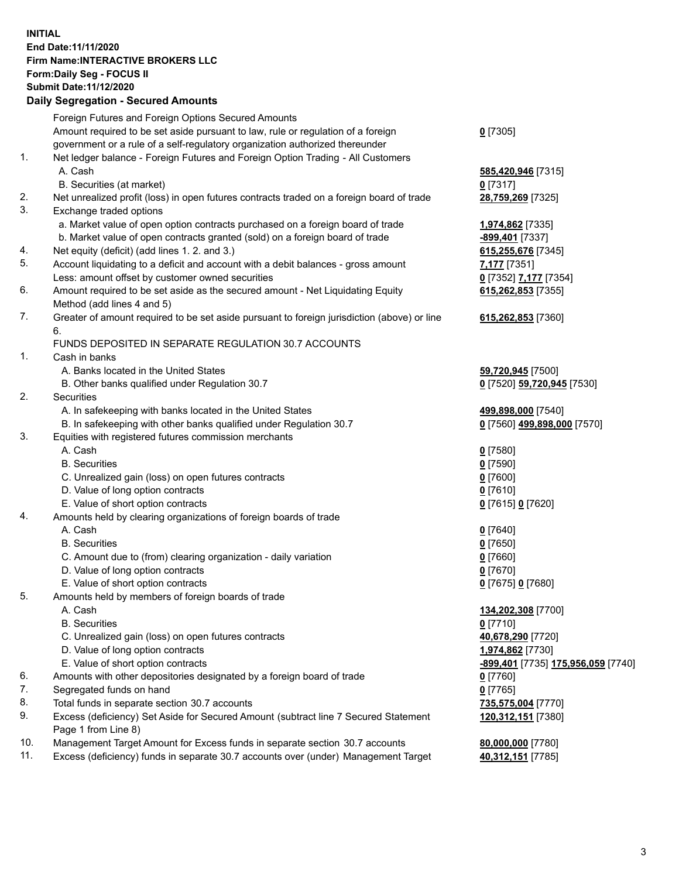## **INITIAL End Date:11/11/2020 Firm Name:INTERACTIVE BROKERS LLC Form:Daily Seg - FOCUS II Submit Date:11/12/2020 Daily Segregation - Secured Amounts**

|     | Daily Jegregation - Jeculed Aniounts                                                                 |                                                  |
|-----|------------------------------------------------------------------------------------------------------|--------------------------------------------------|
|     | Foreign Futures and Foreign Options Secured Amounts                                                  |                                                  |
|     | Amount required to be set aside pursuant to law, rule or regulation of a foreign                     | $0$ [7305]                                       |
|     | government or a rule of a self-regulatory organization authorized thereunder                         |                                                  |
| 1.  | Net ledger balance - Foreign Futures and Foreign Option Trading - All Customers                      |                                                  |
|     | A. Cash                                                                                              | 585,420,946 [7315]                               |
|     | B. Securities (at market)                                                                            | $0$ [7317]                                       |
| 2.  | Net unrealized profit (loss) in open futures contracts traded on a foreign board of trade            | 28,759,269 [7325]                                |
| 3.  | Exchange traded options                                                                              |                                                  |
|     | a. Market value of open option contracts purchased on a foreign board of trade                       | 1,974,862 [7335]                                 |
|     | b. Market value of open contracts granted (sold) on a foreign board of trade                         | -899,401 [7337]                                  |
| 4.  | Net equity (deficit) (add lines 1.2. and 3.)                                                         | 615,255,676 [7345]                               |
| 5.  | Account liquidating to a deficit and account with a debit balances - gross amount                    | 7,177 [7351]                                     |
|     | Less: amount offset by customer owned securities                                                     | 0 [7352] 7,177 [7354]                            |
| 6.  | Amount required to be set aside as the secured amount - Net Liquidating Equity                       | 615,262,853 [7355]                               |
|     | Method (add lines 4 and 5)                                                                           |                                                  |
| 7.  | Greater of amount required to be set aside pursuant to foreign jurisdiction (above) or line          | 615,262,853 [7360]                               |
|     | 6.                                                                                                   |                                                  |
|     | FUNDS DEPOSITED IN SEPARATE REGULATION 30.7 ACCOUNTS                                                 |                                                  |
| 1.  | Cash in banks                                                                                        |                                                  |
|     | A. Banks located in the United States                                                                | 59,720,945 [7500]                                |
|     | B. Other banks qualified under Regulation 30.7                                                       | 0 [7520] 59,720,945 [7530]                       |
| 2.  | Securities                                                                                           |                                                  |
|     | A. In safekeeping with banks located in the United States                                            | 499,898,000 [7540]                               |
|     | B. In safekeeping with other banks qualified under Regulation 30.7                                   | 0 [7560] 499,898,000 [7570]                      |
| 3.  | Equities with registered futures commission merchants                                                |                                                  |
|     | A. Cash                                                                                              | $0$ [7580]                                       |
|     | <b>B.</b> Securities                                                                                 | $0$ [7590]                                       |
|     | C. Unrealized gain (loss) on open futures contracts                                                  | $0$ [7600]                                       |
|     | D. Value of long option contracts                                                                    | $0$ [7610]                                       |
|     | E. Value of short option contracts                                                                   | 0 [7615] 0 [7620]                                |
| 4.  | Amounts held by clearing organizations of foreign boards of trade                                    |                                                  |
|     | A. Cash                                                                                              | $0$ [7640]                                       |
|     | <b>B.</b> Securities                                                                                 | $0$ [7650]                                       |
|     | C. Amount due to (from) clearing organization - daily variation<br>D. Value of long option contracts | $0$ [7660]                                       |
|     | E. Value of short option contracts                                                                   | $0$ [7670]                                       |
| 5.  |                                                                                                      | 0 [7675] 0 [7680]                                |
|     | Amounts held by members of foreign boards of trade<br>A. Cash                                        |                                                  |
|     | <b>B.</b> Securities                                                                                 | 134,202,308 [7700]<br>$0$ [7710]                 |
|     | C. Unrealized gain (loss) on open futures contracts                                                  | 40,678,290 [7720]                                |
|     | D. Value of long option contracts                                                                    | 1,974,862 [7730]                                 |
|     | E. Value of short option contracts                                                                   | <u>-899,401</u> [7735] <u>175,956,059</u> [7740] |
| 6.  | Amounts with other depositories designated by a foreign board of trade                               | 0 [7760]                                         |
| 7.  | Segregated funds on hand                                                                             | $0$ [7765]                                       |
| 8.  | Total funds in separate section 30.7 accounts                                                        |                                                  |
| 9.  | Excess (deficiency) Set Aside for Secured Amount (subtract line 7 Secured Statement                  | 735,575,004 [7770]<br>120,312,151 [7380]         |
|     | Page 1 from Line 8)                                                                                  |                                                  |
| 10. | Management Target Amount for Excess funds in separate section 30.7 accounts                          | 80,000,000 [7780]                                |
| 11. | Excess (deficiency) funds in separate 30.7 accounts over (under) Management Target                   | 40,312,151 [7785]                                |
|     |                                                                                                      |                                                  |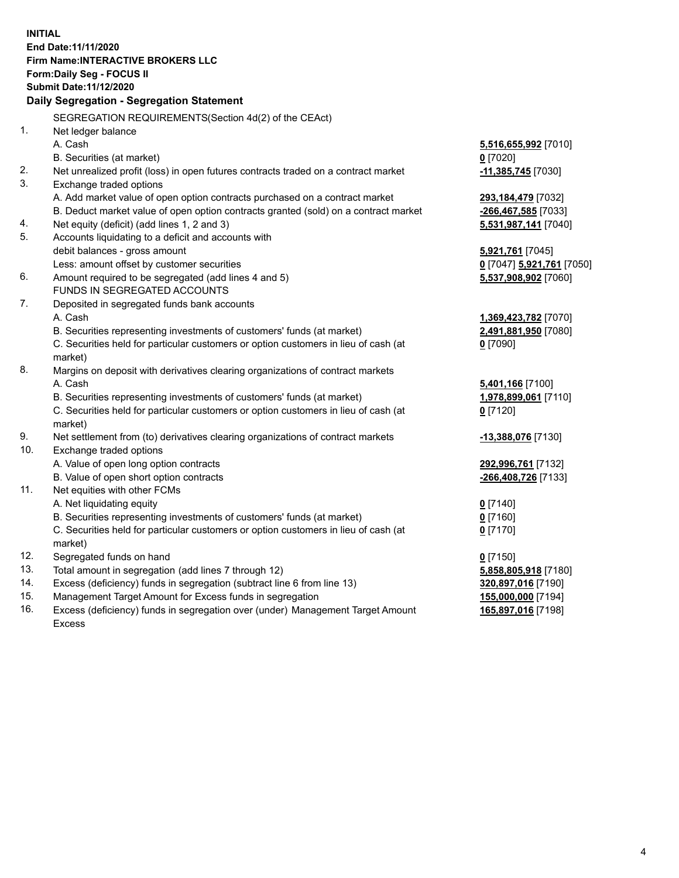**INITIAL End Date:11/11/2020 Firm Name:INTERACTIVE BROKERS LLC Form:Daily Seg - FOCUS II Submit Date:11/12/2020 Daily Segregation - Segregation Statement** SEGREGATION REQUIREMENTS(Section 4d(2) of the CEAct) 1. Net ledger balance A. Cash **5,516,655,992** [7010] B. Securities (at market) **0** [7020] 2. Net unrealized profit (loss) in open futures contracts traded on a contract market **-11,385,745** [7030] 3. Exchange traded options A. Add market value of open option contracts purchased on a contract market **293,184,479** [7032] B. Deduct market value of open option contracts granted (sold) on a contract market **-266,467,585** [7033] 4. Net equity (deficit) (add lines 1, 2 and 3) **5,531,987,141** [7040] 5. Accounts liquidating to a deficit and accounts with debit balances - gross amount **5,921,761** [7045] Less: amount offset by customer securities **0** [7047] **5,921,761** [7050] 6. Amount required to be segregated (add lines 4 and 5) **5,537,908,902** [7060] FUNDS IN SEGREGATED ACCOUNTS 7. Deposited in segregated funds bank accounts A. Cash **1,369,423,782** [7070] B. Securities representing investments of customers' funds (at market) **2,491,881,950** [7080] C. Securities held for particular customers or option customers in lieu of cash (at market) **0** [7090] 8. Margins on deposit with derivatives clearing organizations of contract markets A. Cash **5,401,166** [7100] B. Securities representing investments of customers' funds (at market) **1,978,899,061** [7110] C. Securities held for particular customers or option customers in lieu of cash (at market) **0** [7120] 9. Net settlement from (to) derivatives clearing organizations of contract markets **-13,388,076** [7130] 10. Exchange traded options A. Value of open long option contracts **292,996,761** [7132] B. Value of open short option contracts **-266,408,726** [7133] 11. Net equities with other FCMs A. Net liquidating equity **0** [7140] B. Securities representing investments of customers' funds (at market) **0** [7160] C. Securities held for particular customers or option customers in lieu of cash (at market) **0** [7170] 12. Segregated funds on hand **0** [7150] 13. Total amount in segregation (add lines 7 through 12) **5,858,805,918** [7180] 14. Excess (deficiency) funds in segregation (subtract line 6 from line 13) **320,897,016** [7190] 15. Management Target Amount for Excess funds in segregation **155,000,000** [7194] 16. Excess (deficiency) funds in segregation over (under) Management Target Amount Excess **165,897,016** [7198]